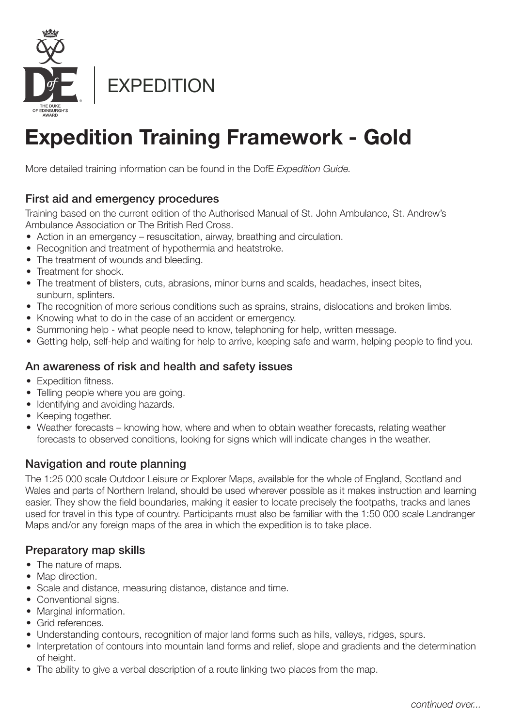

# **Expedition Training Framework - Gold**

More detailed training information can be found in the DofE *Expedition Guide.*

# First aid and emergency procedures

Training based on the current edition of the Authorised Manual of St. John Ambulance, St. Andrew's Ambulance Association or The British Red Cross.

- Action in an emergency resuscitation, airway, breathing and circulation.
- Recognition and treatment of hypothermia and heatstroke.
- The treatment of wounds and bleeding.
- Treatment for shock.
- The treatment of blisters, cuts, abrasions, minor burns and scalds, headaches, insect bites, sunburn, splinters.
- The recognition of more serious conditions such as sprains, strains, dislocations and broken limbs.
- Knowing what to do in the case of an accident or emergency.
- Summoning help what people need to know, telephoning for help, written message.
- Getting help, self-help and waiting for help to arrive, keeping safe and warm, helping people to find you.

# An awareness of risk and health and safety issues

- Expedition fitness.
- Telling people where you are going.
- Identifying and avoiding hazards.
- Keeping together.
- Weather forecasts knowing how, where and when to obtain weather forecasts, relating weather forecasts to observed conditions, looking for signs which will indicate changes in the weather.

# Navigation and route planning

The 1:25 000 scale Outdoor Leisure or Explorer Maps, available for the whole of England, Scotland and Wales and parts of Northern Ireland, should be used wherever possible as it makes instruction and learning easier. They show the field boundaries, making it easier to locate precisely the footpaths, tracks and lanes used for travel in this type of country. Participants must also be familiar with the 1:50 000 scale Landranger Maps and/or any foreign maps of the area in which the expedition is to take place.

# Preparatory map skills

- The nature of maps.
- Map direction.
- Scale and distance, measuring distance, distance and time.
- Conventional signs.
- Marginal information.
- Grid references.
- Understanding contours, recognition of major land forms such as hills, valleys, ridges, spurs.
- Interpretation of contours into mountain land forms and relief, slope and gradients and the determination of height.
- The ability to give a verbal description of a route linking two places from the map.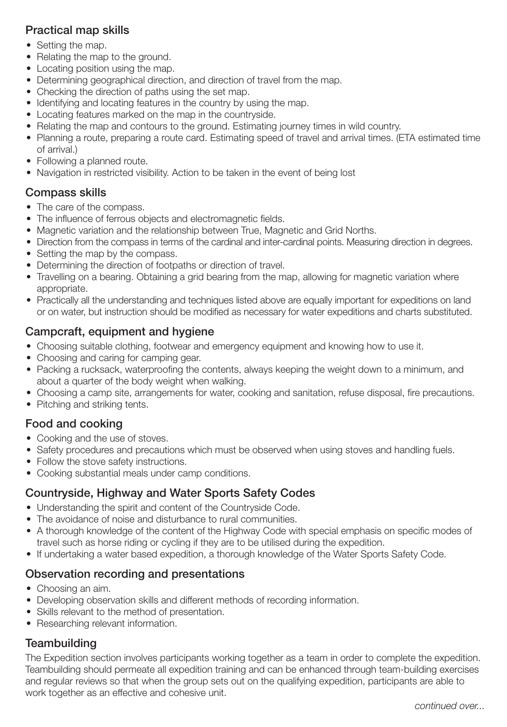# Practical map skills

- Setting the map.
- Relating the map to the ground.
- Locating position using the map.
- Determining geographical direction, and direction of travel from the map.
- Checking the direction of paths using the set map.
- Identifying and locating features in the country by using the map.
- Locating features marked on the map in the countryside.
- Relating the map and contours to the ground. Estimating journey times in wild country.
- Planning a route, preparing a route card. Estimating speed of travel and arrival times. (ETA estimated time of arrival.)
- Following a planned route.
- Navigation in restricted visibility. Action to be taken in the event of being lost

## Compass skills

- The care of the compass.
- The influence of ferrous objects and electromagnetic fields.
- Magnetic variation and the relationship between True, Magnetic and Grid Norths.
- Direction from the compass in terms of the cardinal and inter-cardinal points. Measuring direction in degrees.
- Setting the map by the compass.
- Determining the direction of footpaths or direction of travel.
- Travelling on a bearing. Obtaining a grid bearing from the map, allowing for magnetic variation where appropriate.
- Practically all the understanding and techniques listed above are equally important for expeditions on land or on water, but instruction should be modified as necessary for water expeditions and charts substituted.

## Campcraft, equipment and hygiene

- Choosing suitable clothing, footwear and emergency equipment and knowing how to use it.
- Choosing and caring for camping gear.
- Packing a rucksack, waterproofing the contents, always keeping the weight down to a minimum, and about a quarter of the body weight when walking.
- Choosing a camp site, arrangements for water, cooking and sanitation, refuse disposal, fire precautions.
- Pitching and striking tents.

### Food and cooking

- Cooking and the use of stoves.
- Safety procedures and precautions which must be observed when using stoves and handling fuels.
- Follow the stove safety instructions.
- Cooking substantial meals under camp conditions.

### Countryside, Highway and Water Sports Safety Codes

- Understanding the spirit and content of the Countryside Code.
- The avoidance of noise and disturbance to rural communities.
- A thorough knowledge of the content of the Highway Code with special emphasis on specific modes of travel such as horse riding or cycling if they are to be utilised during the expedition.
- If undertaking a water based expedition, a thorough knowledge of the Water Sports Safety Code.

# Observation recording and presentations

- Choosing an aim.
- Developing observation skills and different methods of recording information.
- Skills relevant to the method of presentation.
- Researching relevant information.

# **Teambuilding**

The Expedition section involves participants working together as a team in order to complete the expedition. Teambuilding should permeate all expedition training and can be enhanced through team-building exercises and regular reviews so that when the group sets out on the qualifying expedition, participants are able to work together as an effective and cohesive unit.